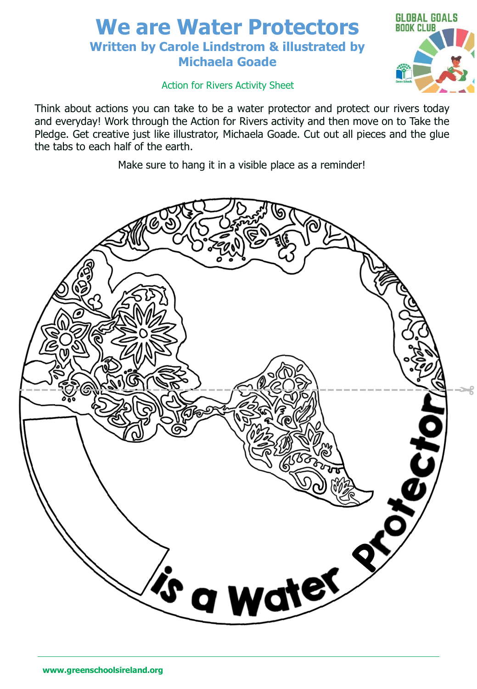## **We are Water Protectors Written by Carole Lindstrom & illustrated by Michaela Goade**



#### Action for Rivers Activity Sheet

Think about actions you can take to be a water protector and protect our rivers today and everyday! Work through the Action for Rivers activity and then move on to Take the Pledge. Get creative just like illustrator, Michaela Goade. Cut out all pieces and the glue the tabs to each half of the earth.

Make sure to hang it in a visible place as a reminder!

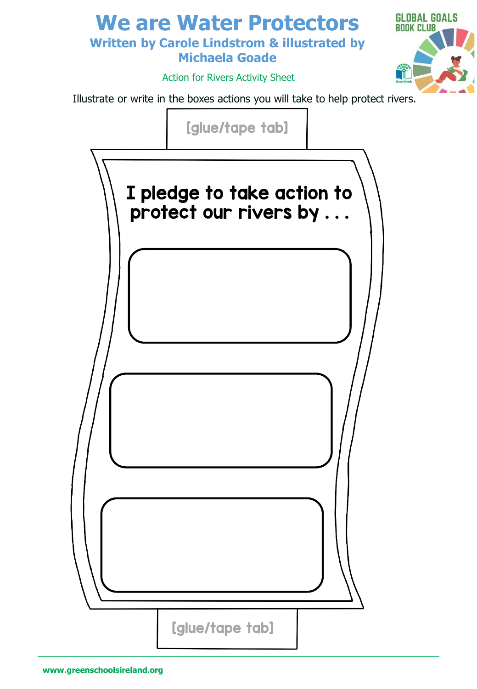### **We are Water Protectors Written by Carole Lindstrom & illustrated by Michaela Goade**



Action for Rivers Activity Sheet

Illustrate or write in the boxes actions you will take to help protect rivers.

[glue/tape tab]

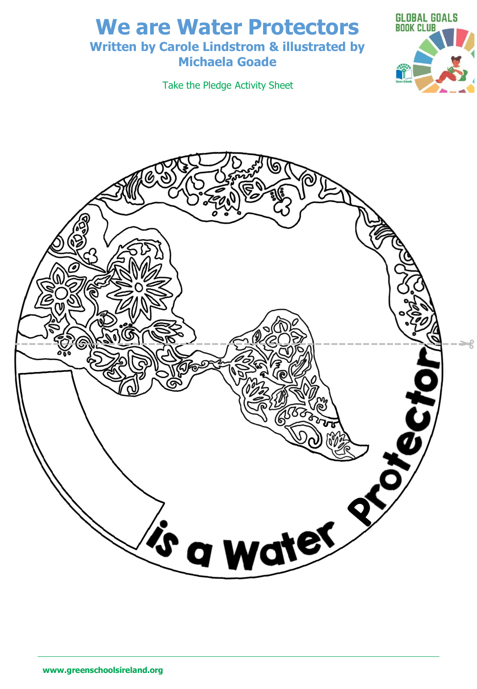# **We are Water Protectors**

#### **Written by Carole Lindstrom & illustrated by Michaela Goade**

Take the Pledge Activity Sheet